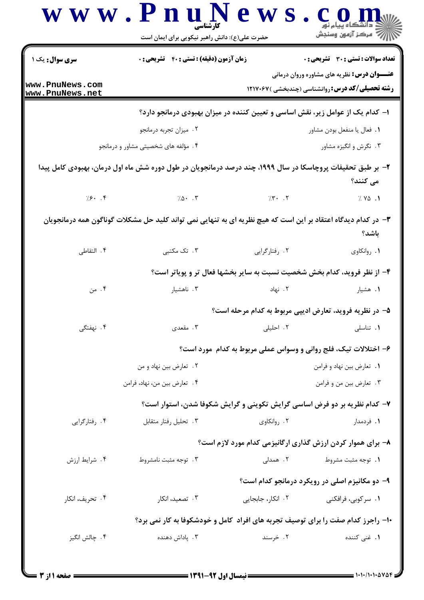|                                    | حضرت علی(ع): دانش راهبر نیکویی برای ایمان است                                                                 |                                                                                                              | <i>إلاً</i> مرڪز آزمون وسنڊش                                     |  |  |
|------------------------------------|---------------------------------------------------------------------------------------------------------------|--------------------------------------------------------------------------------------------------------------|------------------------------------------------------------------|--|--|
| <b>سری سوال :</b> یک ۱             | زمان آزمون (دقیقه) : تستی : ۴۰ قشریحی : ۰                                                                     |                                                                                                              | <b>تعداد سوالات : تستي : 30 ٪ تشريحي : 0</b>                     |  |  |
| www.PnuNews.com<br>www.PnuNews.net |                                                                                                               | <b>عنـــوان درس:</b> نظریه های مشاوره وروان درمانی<br><b>رشته تحصیلی/کد درس: روانشناسی (چندبخشی )۱۲۱۷۰۶۷</b> |                                                                  |  |  |
|                                    | ا- کدام یک از عوامل زیر، نقش اساسی و تعیین کننده در میزان بهبودی درمانجو دارد؟                                |                                                                                                              |                                                                  |  |  |
|                                    | ۰۲ میزان تجربه درمانجو                                                                                        |                                                                                                              | ٠١. فعال يا منفعل بودن مشاور                                     |  |  |
|                                    | ۰۴ مؤلفه های شخصیتی مشاور و درمانجو                                                                           |                                                                                                              | ۰۳ نگرش و انگیزه مشاور                                           |  |  |
|                                    | ۲- بر طبق تحقیفات پروچاسکا در سال ۱۹۹۹، چند درصد درمانجویان در طول دوره شش ماه اول درمان، بهبودی کامل پیدا    |                                                                                                              | می کنند؟                                                         |  |  |
|                                    | $\frac{1}{2}\sqrt{5}$ . F $\frac{1}{2}\sqrt{5}$ . T $\frac{1}{2}\sqrt{5}$ . T $\frac{1}{2}\sqrt{5}$ . T       |                                                                                                              | 7.90.1                                                           |  |  |
|                                    | ۳- در کدام دیدگاه اعتقاد بر این است که هیچ نظریه ای به تنهایی نمی تواند کلید حل مشکلات گوناگون همه درمانجویان |                                                                                                              | باشد؟                                                            |  |  |
| ۰۴ التقاطی                         | ۰۳ تک مکتبی                                                                                                   | ۰۲ رفتارگرایی                                                                                                | ٠١. روانكاوي                                                     |  |  |
|                                    | ۴- از نظر فروید، کدام بخش شخصیت نسبت به سایر بخشها فعال تر و پویاتر است؟                                      |                                                                                                              |                                                                  |  |  |
| ۰۴ من                              | ۰۳ ناهشیار                                                                                                    | ۰۲ نهاد                                                                                                      | ۰۱ هشیار                                                         |  |  |
|                                    |                                                                                                               |                                                                                                              | ۵– در نظریه فروید، تعارض ادیپی مربوط به کدام مرحله است؟          |  |  |
| ۴. نهفتگی                          | ۰۳ مقعدی                                                                                                      | ٢. احليلي                                                                                                    | ٠١. تناسلي                                                       |  |  |
|                                    |                                                                                                               |                                                                                                              | ۶- اختلالات تیک، فلج روانی و وسواس عملی مربوط به کدام ًمورد است؟ |  |  |
|                                    | ۰۲ تعارض بين نهاد و من                                                                                        | ٠١ تعارض بين نهاد و فرامن                                                                                    |                                                                  |  |  |
|                                    | ۰۴ تعارض بين من، نهاد، فرامن                                                                                  |                                                                                                              | ۰۳ تعارض بين من و فرامن                                          |  |  |
|                                    | ۷- کدام نظریه بر دو فرض اساسی گرایش تکوینی و گرایش شکوفا شدن، استوار است؟                                     |                                                                                                              |                                                                  |  |  |
| ۰۴ رفتارگرایی                      | ۰۳ تحلیل رفتار متقابل                                                                                         | ۰۲ روانکاوی                                                                                                  | ۰۱ فردمدار                                                       |  |  |
|                                    |                                                                                                               |                                                                                                              | ۸– برای هموار کردن ارزش گذاری ارگانیزمی کدام مورد لازم است؟      |  |  |
| ۰۴ شرایط ارزش                      | ۰۳ توجه مثبت نامشروط                                                                                          | ۲. همدلی                                                                                                     | ۰۱ توجه مثبت مشروط                                               |  |  |
|                                    |                                                                                                               |                                                                                                              | ۹- دو مکانیزم اصلی در رویکرد درمانجو کدام است؟                   |  |  |
| ۰۴ تحریف، انکار                    | ۰۳ تصعید، انکار                                                                                               | ۰۲ انکار، جابجایی                                                                                            | ۰۱ سرکوبی، فرافکنی                                               |  |  |
|                                    | ۱۰- راجرز کدام صفت را برای توصیف تجربه های افراد کامل و خودشکوفا به کار نمی برد؟                              |                                                                                                              |                                                                  |  |  |
| ۰۴ چالش انگيز                      | ۰۳ پاداش دهنده                                                                                                | ۰۲ خرسند                                                                                                     | <b>۱.</b> غنی کننده                                              |  |  |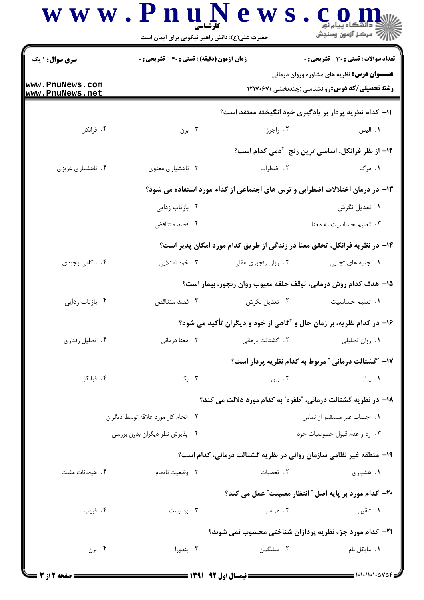|                                      | کار شناسے<br>حضرت علی(ع): دانش راهبر نیکویی برای ایمان است |                                                                              | د دانشگاه پیام نور<br>سنجش آزمون وسنجش                                                                       |
|--------------------------------------|------------------------------------------------------------|------------------------------------------------------------------------------|--------------------------------------------------------------------------------------------------------------|
| <b>سری سوال : ۱ یک</b>               | زمان آزمون (دقیقه) : تستی : ۴۰٪ تشریحی : ۰                 |                                                                              | <b>تعداد سوالات : تستی : 30 ٪ تشریحی : 0</b>                                                                 |
| www.PnuNews.com<br>www.PnuNews.net   |                                                            |                                                                              | <b>عنـــوان درس:</b> نظریه های مشاوره وروان درمانی<br><b>رشته تحصیلی/کد درس: روانشناسی (چندبخشی )۱۲۱۷۰۶۷</b> |
|                                      |                                                            | 11– کدام نظریه پرداز بر یادگیری خود انگیخته معتقد است؟                       |                                                                                                              |
| ۰۴ فرانکل                            | ۰۳ برن                                                     | ۰۲ راجرز                                                                     | ٠١. اليس                                                                                                     |
|                                      |                                                            |                                                                              | 1۲– از نظر فرانکل، اساسی ترین رنج آدمی کدام است؟                                                             |
| ۰۴ ناهشیاری غریزی                    | ۰۳ ناهشیاری معنوی                                          | ٢. اضطراب                                                                    | ۱. مرگ                                                                                                       |
|                                      |                                                            | ۱۳– در درمان اختلالات اضطرابی و ترس های اجتماعی از کدام مورد استفاده می شود؟ |                                                                                                              |
|                                      | ۰۲ بازتاب زدایی                                            |                                                                              | ۰۱ تعدیل نگرش                                                                                                |
|                                      | ۰۴ قصد متناقض                                              |                                                                              | ۰۳ تعلیم حساسیت به معنا                                                                                      |
|                                      |                                                            | ۱۴– در نظریه فرانکل، تحقق معنا در زندگی از طریق کدام مورد امکان پذیر است؟    |                                                                                                              |
| ۰۴ ناکامی وجودی                      | ۰۳ خود اعتلایی                                             | ۰۲ روان رنجوري عقلي                                                          | ١. جنبه های تجربی                                                                                            |
|                                      |                                                            | ۱۵– هدف کدام روش درمانی، توقف حلقه معیوب روان رنجور، بیمار است؟              |                                                                                                              |
| ۰۴ بازتاب زدایی                      | ۰۳ قصد متناقض                                              | ۰۲ تعدیل نگرش                                                                | ۰۱ تعلیم حساسیت                                                                                              |
|                                      |                                                            | ۱۶- در کدام نظریه، بر زمان حال و آگاهی از خود و دیگران تأکید می شود؟         |                                                                                                              |
| ۰۴ تحلیل رفتاری                      | ۰۳ معنا درمانی                                             | ٢. گشتالت درمانی                                                             | ٠١. روان تحليلي                                                                                              |
|                                      |                                                            |                                                                              | ۱۷– ″گشتالت درمانی ″ مربوط به کدام نظریه پرداز است؟                                                          |
| ۰۴ فرانکل                            | ۰۳ بک                                                      | ۰۲ برن                                                                       | ۰۱ پرلز                                                                                                      |
|                                      |                                                            | ۱۸– در نظریه گشتالت درمانی، "طفره" به کدام مورد دلالت می کند؟                |                                                                                                              |
| ۲ . انجام کار مورد علاقه توسط دیگران |                                                            |                                                                              | 1. اجتناب غير مستقيم از تماس                                                                                 |
|                                      | ۰۴ پذیرش نظر دیگران بدون بررسی                             |                                                                              | ۰۳ رد و عدم قبول خصوصیات خود                                                                                 |
|                                      |                                                            | ۱۹- منطقه غیر نظامی سازمان روانی در نظریه گشتالت درمانی، کدام است؟           |                                                                                                              |
| ۰۴ هیجانات مثبت                      | ۰۳ وضعیت ناتمام                                            | ٠٢ تعصبات                                                                    | ۰۱ هشیاری                                                                                                    |
|                                      |                                                            | <b>۲۰</b> - کدام مورد بر پایه اصل " انتظار مصیبت" عمل می کند؟                |                                                                                                              |
| ۰۴ فريب                              | ۰۳ بن بست                                                  | ۰۲ هراس                                                                      | ۰۱ تلقین                                                                                                     |
|                                      |                                                            | 21- کدام مورد جزء نظریه پردازان شناختی محسوب نمی شوند؟                       |                                                                                                              |
| ۰۴ برن                               | ۰۳ بندورا                                                  | ۰۲ سلیگمن                                                                    | ٠١. مايكل بام                                                                                                |
|                                      |                                                            |                                                                              |                                                                                                              |